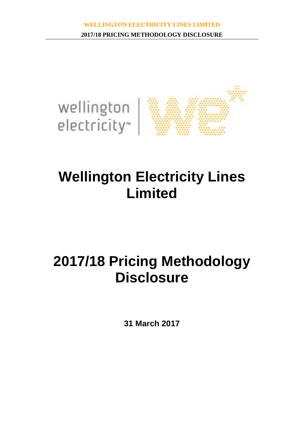

# **Wellington Electricity Lines Limited**

# **2017/18 Pricing Methodology Disclosure**

**31 March 2017**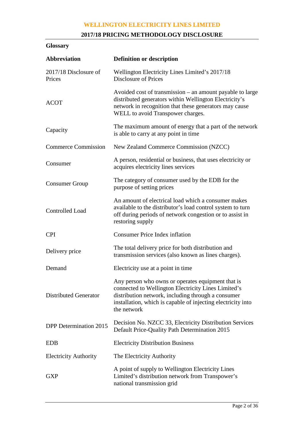## **2017/18 PRICING METHODOLOGY DISCLOSURE**

## **Glossary**

| <b>Abbreviation</b>             | <b>Definition or description</b>                                                                                                                                                                                                              |
|---------------------------------|-----------------------------------------------------------------------------------------------------------------------------------------------------------------------------------------------------------------------------------------------|
| 2017/18 Disclosure of<br>Prices | Wellington Electricity Lines Limited's 2017/18<br><b>Disclosure of Prices</b>                                                                                                                                                                 |
| <b>ACOT</b>                     | Avoided cost of transmission – an amount payable to large<br>distributed generators within Wellington Electricity's<br>network in recognition that these generators may cause<br>WELL to avoid Transpower charges.                            |
| Capacity                        | The maximum amount of energy that a part of the network<br>is able to carry at any point in time                                                                                                                                              |
| <b>Commerce Commission</b>      | New Zealand Commerce Commission (NZCC)                                                                                                                                                                                                        |
| Consumer                        | A person, residential or business, that uses electricity or<br>acquires electricity lines services                                                                                                                                            |
| <b>Consumer Group</b>           | The category of consumer used by the EDB for the<br>purpose of setting prices                                                                                                                                                                 |
| Controlled Load                 | An amount of electrical load which a consumer makes<br>available to the distributor's load control system to turn<br>off during periods of network congestion or to assist in<br>restoring supply                                             |
| <b>CPI</b>                      | <b>Consumer Price Index inflation</b>                                                                                                                                                                                                         |
| Delivery price                  | The total delivery price for both distribution and<br>transmission services (also known as lines charges).                                                                                                                                    |
| Demand                          | Electricity use at a point in time                                                                                                                                                                                                            |
| <b>Distributed Generator</b>    | Any person who owns or operates equipment that is<br>connected to Wellington Electricity Lines Limited's<br>distribution network, including through a consumer<br>installation, which is capable of injecting electricity into<br>the network |
| <b>DPP</b> Determination 2015   | Decision No. NZCC 33, Electricity Distribution Services<br>Default Price-Quality Path Determination 2015                                                                                                                                      |
| <b>EDB</b>                      | <b>Electricity Distribution Business</b>                                                                                                                                                                                                      |
| <b>Electricity Authority</b>    | The Electricity Authority                                                                                                                                                                                                                     |
| <b>GXP</b>                      | A point of supply to Wellington Electricity Lines<br>Limited's distribution network from Transpower's<br>national transmission grid                                                                                                           |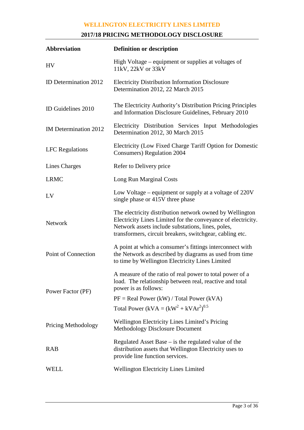## **2017/18 PRICING METHODOLOGY DISCLOSURE**

| <b>Abbreviation</b>    | <b>Definition or description</b>                                                                                                                                                                                                          |  |  |  |  |  |  |
|------------------------|-------------------------------------------------------------------------------------------------------------------------------------------------------------------------------------------------------------------------------------------|--|--|--|--|--|--|
| HV                     | High Voltage – equipment or supplies at voltages of<br>11kV, 22kV or 33kV                                                                                                                                                                 |  |  |  |  |  |  |
| ID Determination 2012  | <b>Electricity Distribution Information Disclosure</b><br>Determination 2012, 22 March 2015                                                                                                                                               |  |  |  |  |  |  |
| ID Guidelines 2010     | The Electricity Authority's Distribution Pricing Principles<br>and Information Disclosure Guidelines, February 2010                                                                                                                       |  |  |  |  |  |  |
| IM Determination 2012  | Electricity Distribution Services Input Methodologies<br>Determination 2012, 30 March 2015                                                                                                                                                |  |  |  |  |  |  |
| <b>LFC</b> Regulations | Electricity (Low Fixed Charge Tariff Option for Domestic<br><b>Consumers</b> ) Regulation 2004                                                                                                                                            |  |  |  |  |  |  |
| Lines Charges          | Refer to Delivery price                                                                                                                                                                                                                   |  |  |  |  |  |  |
| <b>LRMC</b>            | Long Run Marginal Costs                                                                                                                                                                                                                   |  |  |  |  |  |  |
| LV                     | Low Voltage – equipment or supply at a voltage of 220V<br>single phase or 415V three phase                                                                                                                                                |  |  |  |  |  |  |
| <b>Network</b>         | The electricity distribution network owned by Wellington<br>Electricity Lines Limited for the conveyance of electricity.<br>Network assets include substations, lines, poles,<br>transformers, circuit breakers, switchgear, cabling etc. |  |  |  |  |  |  |
| Point of Connection    | A point at which a consumer's fittings interconnect with<br>the Network as described by diagrams as used from time<br>to time by Wellington Electricity Lines Limited                                                                     |  |  |  |  |  |  |
| Power Factor (PF)      | A measure of the ratio of real power to total power of a<br>load. The relationship between real, reactive and total<br>power is as follows:                                                                                               |  |  |  |  |  |  |
|                        | $PF = Real Power (kW) / Total Power (kVA)$                                                                                                                                                                                                |  |  |  |  |  |  |
|                        | Total Power (kVA = $(kW^2 + kVAr^2)^{0.5}$                                                                                                                                                                                                |  |  |  |  |  |  |
| Pricing Methodology    | <b>Wellington Electricity Lines Limited's Pricing</b><br><b>Methodology Disclosure Document</b>                                                                                                                                           |  |  |  |  |  |  |
| <b>RAB</b>             | Regulated Asset Base $-$ is the regulated value of the<br>distribution assets that Wellington Electricity uses to<br>provide line function services.                                                                                      |  |  |  |  |  |  |
| WELL                   | <b>Wellington Electricity Lines Limited</b>                                                                                                                                                                                               |  |  |  |  |  |  |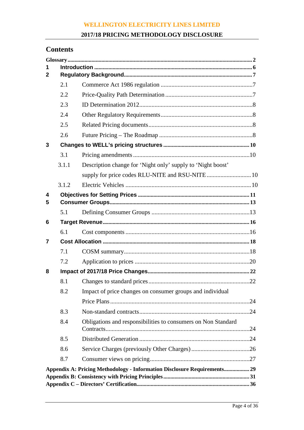#### **2017/18 PRICING METHODOLOGY DISCLOSURE**

## **Contents**

| 1            |       |                                                                          |  |
|--------------|-------|--------------------------------------------------------------------------|--|
| $\mathbf{2}$ |       |                                                                          |  |
|              | 2.1   |                                                                          |  |
|              | 2.2   |                                                                          |  |
|              | 2.3   |                                                                          |  |
|              | 2.4   |                                                                          |  |
|              | 2.5   |                                                                          |  |
|              | 2.6   |                                                                          |  |
| 3            |       |                                                                          |  |
|              | 3.1   |                                                                          |  |
|              | 3.1.1 | Description change for 'Night only' supply to 'Night boost'              |  |
|              |       |                                                                          |  |
|              | 3.1.2 |                                                                          |  |
| 4            |       |                                                                          |  |
| 5            |       |                                                                          |  |
|              | 5.1   |                                                                          |  |
| 6            |       |                                                                          |  |
|              | 6.1   |                                                                          |  |
| 7            |       |                                                                          |  |
|              | 7.1   |                                                                          |  |
|              | 7.2   |                                                                          |  |
| 8            |       |                                                                          |  |
|              | 8.1   |                                                                          |  |
|              | 8.2   | Impact of price changes on consumer groups and individual                |  |
|              |       |                                                                          |  |
|              | 8.3   |                                                                          |  |
|              | 8.4   | Obligations and responsibilities to consumers on Non Standard            |  |
|              | 8.5   |                                                                          |  |
|              | 8.6   |                                                                          |  |
|              | 8.7   |                                                                          |  |
|              |       | Appendix A: Pricing Methodology - Information Disclosure Requirements 29 |  |
|              |       |                                                                          |  |
|              |       |                                                                          |  |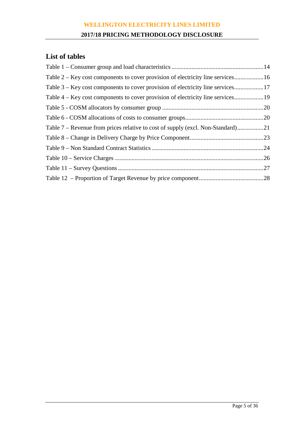#### **2017/18 PRICING METHODOLOGY DISCLOSURE**

## **List of tables**

| Table 2 – Key cost components to cover provision of electricity line services16 |     |
|---------------------------------------------------------------------------------|-----|
|                                                                                 |     |
| Table 4 – Key cost components to cover provision of electricity line services   |     |
|                                                                                 |     |
|                                                                                 |     |
|                                                                                 |     |
|                                                                                 |     |
|                                                                                 |     |
|                                                                                 | .26 |
|                                                                                 |     |
|                                                                                 |     |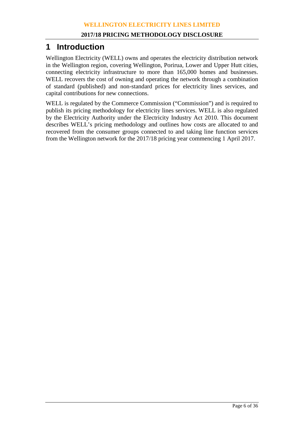## **1 Introduction**

Wellington Electricity (WELL) owns and operates the electricity distribution network in the Wellington region, covering Wellington, Porirua, Lower and Upper Hutt cities, connecting electricity infrastructure to more than 165,000 homes and businesses. WELL recovers the cost of owning and operating the network through a combination of standard (published) and non-standard prices for electricity lines services, and capital contributions for new connections.

WELL is regulated by the Commerce Commission ("Commission") and is required to publish its pricing methodology for electricity lines services. WELL is also regulated by the Electricity Authority under the Electricity Industry Act 2010. This document describes WELL's pricing methodology and outlines how costs are allocated to and recovered from the consumer groups connected to and taking line function services from the Wellington network for the 2017/18 pricing year commencing 1 April 2017.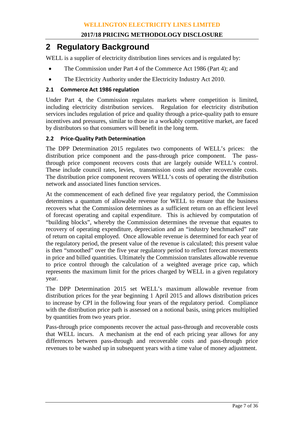## **2 Regulatory Background**

WELL is a supplier of electricity distribution lines services and is regulated by:

- The Commission under Part 4 of the Commerce Act 1986 (Part 4); and
- The Electricity Authority under the Electricity Industry Act 2010.

#### **2.1 Commerce Act 1986 regulation**

Under Part 4, the Commission regulates markets where competition is limited, including electricity distribution services. Regulation for electricity distribution services includes regulation of price and quality through a price-quality path to ensure incentives and pressures, similar to those in a workably competitive market, are faced by distributors so that consumers will benefit in the long term.

#### **2.2 Price-Quality Path Determination**

The DPP Determination 2015 regulates two components of WELL's prices: the distribution price component and the pass-through price component. The passthrough price component recovers costs that are largely outside WELL's control. These include council rates, levies, transmission costs and other recoverable costs. The distribution price component recovers WELL's costs of operating the distribution network and associated lines function services.

At the commencement of each defined five year regulatory period, the Commission determines a quantum of allowable revenue for WELL to ensure that the business recovers what the Commission determines as a sufficient return on an efficient level of forecast operating and capital expenditure. This is achieved by computation of "building blocks", whereby the Commission determines the revenue that equates to recovery of operating expenditure, depreciation and an "industry benchmarked" rate of return on capital employed. Once allowable revenue is determined for each year of the regulatory period, the present value of the revenue is calculated; this present value is then "smoothed" over the five year regulatory period to reflect forecast movements in price and billed quantities. Ultimately the Commission translates allowable revenue to price control through the calculation of a weighted average price cap, which represents the maximum limit for the prices charged by WELL in a given regulatory year.

The DPP Determination 2015 set WELL's maximum allowable revenue from distribution prices for the year beginning 1 April 2015 and allows distribution prices to increase by CPI in the following four years of the regulatory period. Compliance with the distribution price path is assessed on a notional basis, using prices multiplied by quantities from two years prior.

Pass-through price components recover the actual pass-through and recoverable costs that WELL incurs. A mechanism at the end of each pricing year allows for any differences between pass-through and recoverable costs and pass-through price revenues to be washed up in subsequent years with a time value of money adjustment.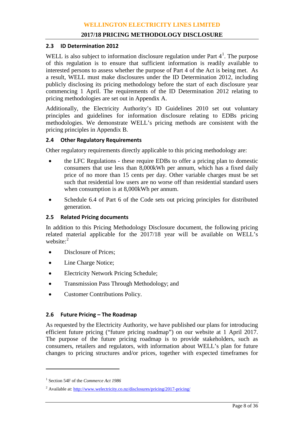#### **2.3 ID Determination 2012**

WELL is also subject to information disclosure regulation under Part  $4<sup>1</sup>$  $4<sup>1</sup>$  $4<sup>1</sup>$ . The purpose of this regulation is to ensure that sufficient information is readily available to interested persons to assess whether the purpose of Part 4 of the Act is being met. As a result, WELL must make disclosures under the ID Determination 2012, including publicly disclosing its pricing methodology before the start of each disclosure year commencing 1 April. The requirements of the ID Determination 2012 relating to pricing methodologies are set out in Appendix A.

Additionally, the Electricity Authority's ID Guidelines 2010 set out voluntary principles and guidelines for information disclosure relating to EDBs pricing methodologies. We demonstrate WELL's pricing methods are consistent with the pricing principles in Appendix B.

#### **2.4 Other Regulatory Requirements**

Other regulatory requirements directly applicable to this pricing methodology are:

- the LFC Regulations these require EDBs to offer a pricing plan to domestic consumers that use less than 8,000kWh per annum, which has a fixed daily price of no more than 15 cents per day. Other variable charges must be set such that residential low users are no worse off than residential standard users when consumption is at 8,000kWh per annum.
- Schedule 6.4 of Part 6 of the Code sets out pricing principles for distributed generation.

#### **2.5 Related Pricing documents**

In addition to this Pricing Methodology Disclosure document, the following pricing related material applicable for the 2017/18 year will be available on WELL's website:<sup>[2](#page-7-1)</sup>

- Disclosure of Prices;
- Line Charge Notice;
- Electricity Network Pricing Schedule;
- Transmission Pass Through Methodology; and
- Customer Contributions Policy.

#### **2.6 Future Pricing – The Roadmap**

As requested by the Electricity Authority, we have published our plans for introducing efficient future pricing ("future pricing roadmap") on our website at 1 April 2017. The purpose of the future pricing roadmap is to provide stakeholders, such as consumers, retailers and regulators, with information about WELL's plan for future changes to pricing structures and/or prices, together with expected timeframes for

 $\overline{a}$ 

<span id="page-7-0"></span><sup>1</sup> Section 54F of the *Commerce Act 1986*

<span id="page-7-1"></span><sup>&</sup>lt;sup>2</sup> Available at[: http://www.welectricity.co.nz/disclosures/pricing/2017-pricing/](http://www.welectricity.co.nz/disclosures/pricing/2017-pricing/)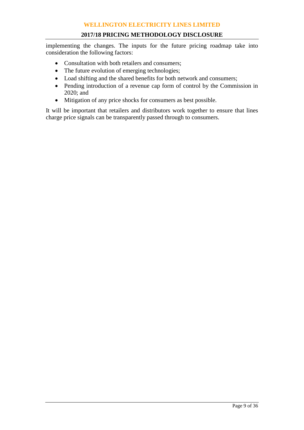implementing the changes. The inputs for the future pricing roadmap take into consideration the following factors:

- Consultation with both retailers and consumers;
- The future evolution of emerging technologies;
- Load shifting and the shared benefits for both network and consumers;
- Pending introduction of a revenue cap form of control by the Commission in 2020; and
- Mitigation of any price shocks for consumers as best possible.

It will be important that retailers and distributors work together to ensure that lines charge price signals can be transparently passed through to consumers.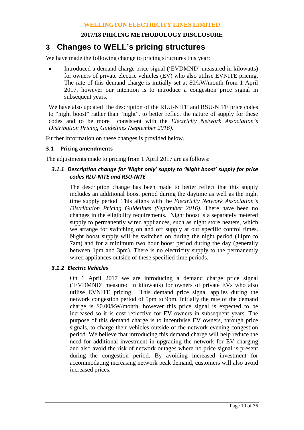## **3 Changes to WELL's pricing structures**

We have made the following change to pricing structures this year:

• Introduced a demand charge price signal ('EVDMND' measured in kilowatts) for owners of private electric vehicles (EV) who also utilise EVNITE pricing. The rate of this demand charge is initially set at \$0/kW/month from 1 April 2017, however our intention is to introduce a congestion price signal in subsequent years.

We have also updated the description of the RLU-NITE and RSU-NITE price codes to "night boost" rather than "night", to better reflect the nature of supply for these codes and to be more consistent with the *Electricity Network Association's Distribution Pricing Guidelines (September 2016)*.

Further information on these changes is provided below.

#### **3.1 Pricing amendments**

The adjustments made to pricing from 1 April 2017 are as follows:

#### *3.1.1 Description change for 'Night only' supply to 'Night boost' supply for price codes RLU-NITE and RSU-NITE*

The description change has been made to better reflect that this supply includes an additional boost period during the daytime as well as the night time supply period. This aligns with the *Electricity Network Association's Distribution Pricing Guidelines (September 2016)*. There have been no changes in the eligibility requirements. Night boost is a separately metered supply to permanently wired appliances, such as night store heaters, which we arrange for switching on and off supply at our specific control times. Night boost supply will be switched on during the night period (11pm to 7am) and for a minimum two hour boost period during the day (generally between 1pm and 3pm). There is no electricity supply to the permanently wired appliances outside of these specified time periods.

#### *3.1.2 Electric Vehicles*

On 1 April 2017 we are introducing a demand charge price signal ('EVDMND' measured in kilowatts) for owners of private EVs who also utilise EVNITE pricing. This demand price signal applies during the network congestion period of 5pm to 9pm. Initially the rate of the demand charge is \$0.00/kW/month, however this price signal is expected to be increased so it is cost reflective for EV owners in subsequent years. The purpose of this demand charge is to incentivise EV owners, through price signals, to charge their vehicles outside of the network evening congestion period. We believe that introducing this demand charge will help reduce the need for additional investment in upgrading the network for EV charging and also avoid the risk of network outages where no price signal is present during the congestion period. By avoiding increased investment for accommodating increasing network peak demand, customers will also avoid increased prices.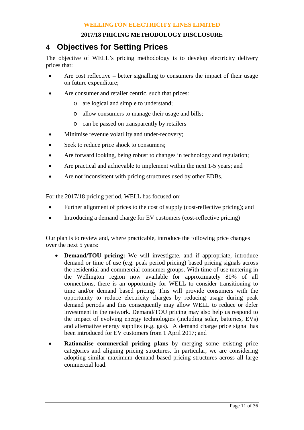## **4 Objectives for Setting Prices**

The objective of WELL's pricing methodology is to develop electricity delivery prices that:

- Are cost reflective better signalling to consumers the impact of their usage on future expenditure;
- Are consumer and retailer centric, such that prices:
	- o are logical and simple to understand;
	- o allow consumers to manage their usage and bills;
	- o can be passed on transparently by retailers
- Minimise revenue volatility and under-recovery;
- Seek to reduce price shock to consumers;
- Are forward looking, being robust to changes in technology and regulation;
- Are practical and achievable to implement within the next 1-5 years; and
- Are not inconsistent with pricing structures used by other EDBs.

For the 2017/18 pricing period, WELL has focused on:

- Further alignment of prices to the cost of supply (cost-reflective pricing); and
- Introducing a demand charge for EV customers (cost-reflective pricing)

Our plan is to review and, where practicable, introduce the following price changes over the next 5 years:

- **Demand/TOU pricing:** We will investigate, and if appropriate, introduce demand or time of use (e.g. peak period pricing) based pricing signals across the residential and commercial consumer groups. With time of use metering in the Wellington region now available for approximately 80% of all connections, there is an opportunity for WELL to consider transitioning to time and/or demand based pricing. This will provide consumers with the opportunity to reduce electricity charges by reducing usage during peak demand periods and this consequently may allow WELL to reduce or defer investment in the network. Demand/TOU pricing may also help us respond to the impact of evolving energy technologies (including solar, batteries, EVs) and alternative energy supplies (e.g. gas). A demand charge price signal has been introduced for EV customers from 1 April 2017; and
- **Rationalise commercial pricing plans** by merging some existing price categories and aligning pricing structures. In particular, we are considering adopting similar maximum demand based pricing structures across all large commercial load.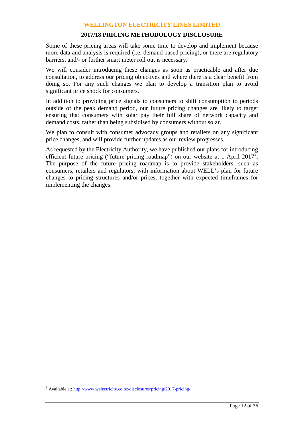Some of these pricing areas will take some time to develop and implement because more data and analysis is required (i.e. demand based pricing), or there are regulatory barriers, and/- or further smart meter roll out is necessary.

We will consider introducing these changes as soon as practicable and after due consultation, to address our pricing objectives and where there is a clear benefit from doing so. For any such changes we plan to develop a transition plan to avoid significant price shock for consumers.

In addition to providing price signals to consumers to shift consumption to periods outside of the peak demand period, our future pricing changes are likely to target ensuring that consumers with solar pay their full share of network capacity and demand costs, rather than being subsidised by consumers without solar.

We plan to consult with consumer advocacy groups and retailers on any significant price changes, and will provide further updates as our review progresses.

As requested by the Electricity Authority, we have published our plans for introducing efficient future pricing ("future pricing roadmap") on our website at 1 April 2017<sup>[3](#page-11-0)</sup>. The purpose of the future pricing roadmap is to provide stakeholders, such as consumers, retailers and regulators, with information about WELL's plan for future changes to pricing structures and/or prices, together with expected timeframes for implementing the changes.

 $\overline{a}$ 

<span id="page-11-0"></span><sup>3</sup> Available at[: http://www.welectricity.co.nz/disclosures/pricing/2017-pricing/](http://www.welectricity.co.nz/disclosures/pricing/2017-pricing/)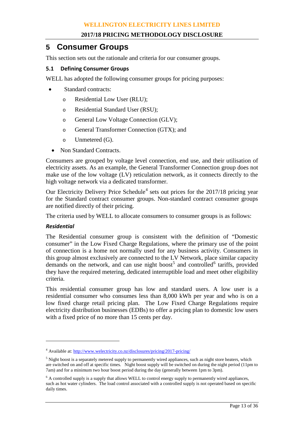## **5 Consumer Groups**

This section sets out the rationale and criteria for our consumer groups.

#### **5.1 Defining Consumer Groups**

WELL has adopted the following consumer groups for pricing purposes:

- Standard contracts:
	- o Residential Low User (RLU);
	- o Residential Standard User (RSU);
	- o General Low Voltage Connection (GLV);
	- o General Transformer Connection (GTX); and
	- o Unmetered (G).
	- Non Standard Contracts.

Consumers are grouped by voltage level connection, end use, and their utilisation of electricity assets. As an example, the General Transformer Connection group does not make use of the low voltage (LV) reticulation network, as it connects directly to the high voltage network via a dedicated transformer.

Our Electricity Delivery Price Schedule<sup>[4](#page-12-0)</sup> sets out prices for the  $2017/18$  pricing year for the Standard contract consumer groups. Non-standard contract consumer groups are notified directly of their pricing.

The criteria used by WELL to allocate consumers to consumer groups is as follows:

#### *Residential*

 $\overline{a}$ 

The Residential consumer group is consistent with the definition of "Domestic consumer" in the Low Fixed Charge Regulations, where the primary use of the point of connection is a home not normally used for any business activity. Consumers in this group almost exclusively are connected to the LV Network, place similar capacity demands on the network, and can use night boost<sup>[5](#page-12-1)</sup> and controlled<sup>[6](#page-12-2)</sup> tariffs, provided they have the required metering, dedicated interruptible load and meet other eligibility criteria.

This residential consumer group has low and standard users. A low user is a residential consumer who consumes less than 8,000 kWh per year and who is on a low fixed charge retail pricing plan. The Low Fixed Charge Regulations require electricity distribution businesses (EDBs) to offer a pricing plan to domestic low users with a fixed price of no more than 15 cents per day.

<span id="page-12-0"></span><sup>4</sup> Available at[: http://www.welectricity.co.nz/disclosures/pricing/2017-pricing/](http://www.welectricity.co.nz/disclosures/pricing/2017-pricing/)

<span id="page-12-1"></span><sup>&</sup>lt;sup>5</sup> Night boost is a separately metered supply to permanently wired appliances, such as night store heaters, which are switched on and off at specific times. Night boost supply will be switched on during the night period (11pm to 7am) and for a minimum two hour boost period during the day (generally between 1pm to 3pm).

<span id="page-12-2"></span> $6$  A controlled supply is a supply that allows WELL to control energy supply to permanently wired appliances, such as hot water cylinders. The load control associated with a controlled supply is not operated based on specific daily times.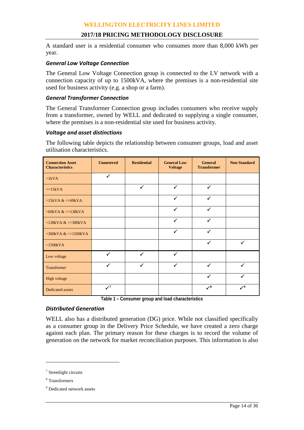#### **2017/18 PRICING METHODOLOGY DISCLOSURE**

A standard user is a residential consumer who consumes more than 8,000 kWh per year.

#### *General Low Voltage Connection*

The General Low Voltage Connection group is connected to the LV network with a connection capacity of up to 1500kVA, where the premises is a non-residential site used for business activity (e.g. a shop or a farm).

#### *General Transformer Connection*

The General Transformer Connection group includes consumers who receive supply from a transformer, owned by WELL and dedicated to supplying a single consumer, where the premises is a non-residential site used for business activity.

#### *Voltage and asset distinctions*

The following table depicts the relationship between consumer groups, load and asset utilisation characteristics.

| <b>Connection Asset</b><br><b>Characteristics</b> | <b>Unmetered</b>               | <b>Residential</b> | <b>General Low</b><br><b>Voltage</b> | <b>General</b><br><b>Transformer</b> | <b>Non Standard</b> |
|---------------------------------------------------|--------------------------------|--------------------|--------------------------------------|--------------------------------------|---------------------|
| $\langle$ 1kVA                                    | $\checkmark$                   |                    |                                      |                                      |                     |
| $\leq$ 15kVA                                      |                                | $\checkmark$       | ✓                                    | ✓                                    |                     |
| $>15kVA <=69kVA$                                  |                                |                    | ✓                                    | ✓                                    |                     |
| $>69$ kVA & $\leq$ =138kVA                        |                                |                    | ✓                                    | $\checkmark$                         |                     |
| $>138kVA <=300kVA$                                |                                |                    | $\checkmark$                         | $\checkmark$                         |                     |
| $>300$ kVA & $\leq 1500$ kVA                      |                                |                    | $\checkmark$                         | ✓                                    |                     |
| $>1500kVA$                                        |                                |                    |                                      | $\checkmark$                         | ✓                   |
| Low voltage                                       | $\checkmark$                   | $\checkmark$       | ✓                                    |                                      |                     |
| Transformer                                       | $\checkmark$                   | $\checkmark$       | $\checkmark$                         | ✓                                    | ✓                   |
| High voltage                                      |                                |                    |                                      | ✓                                    | ✓                   |
| <b>Dedicated assets</b>                           | $\checkmark$ <sup>7</sup><br>- |                    | $\cdots$<br>. .                      | $\checkmark^8$<br>$\cdots$           | $\mathcal{V}^9$     |

**Table 1 – Consumer group and load characteristics**

#### *Distributed Generation*

WELL also has a distributed generation (DG) price. While not classified specifically as a consumer group in the Delivery Price Schedule, we have created a zero charge against each plan. The primary reason for these charges is to record the volume of generation on the network for market reconciliation purposes. This information is also

 $\overline{a}$ 

<span id="page-13-0"></span><sup>7</sup> Streetlight circuits

<span id="page-13-1"></span><sup>8</sup> Transformers

<span id="page-13-2"></span><sup>&</sup>lt;sup>9</sup> Dedicated network assets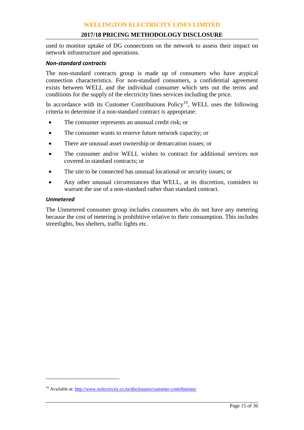#### **2017/18 PRICING METHODOLOGY DISCLOSURE**

used to monitor uptake of DG connections on the network to assess their impact on network infrastructure and operations.

#### *Non-standard contracts*

The non-standard contracts group is made up of consumers who have atypical connection characteristics. For non-standard consumers, a confidential agreement exists between WELL and the individual consumer which sets out the terms and conditions for the supply of the electricity lines services including the price.

In accordance with its Customer Contributions  $Policy<sup>10</sup>$ , WELL uses the following criteria to determine if a non-standard contract is appropriate:

- The consumer represents an unusual credit risk; or
- The consumer wants to reserve future network capacity; or
- There are unusual asset ownership or demarcation issues; or
- The consumer and/or WELL wishes to contract for additional services not covered in standard contracts; or
- The site to be connected has unusual locational or security issues; or
- Any other unusual circumstances that WELL, at its discretion, considers to warrant the use of a non-standard rather than standard contract.

#### *Unmetered*

 $\overline{a}$ 

The Unmetered consumer group includes consumers who do not have any metering because the cost of metering is prohibitive relative to their consumption. This includes streetlights, bus shelters, traffic lights etc.

<span id="page-14-0"></span><sup>&</sup>lt;sup>10</sup> Available at[: http://www.welectricity.co.nz/disclosures/customer-contributions/](http://www.welectricity.co.nz/disclosures/customer-contributions/)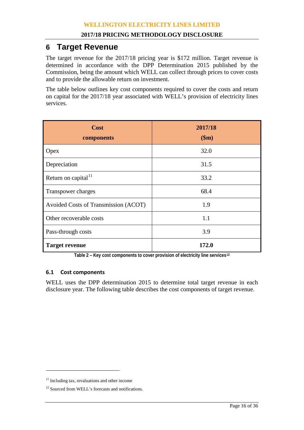## **6 Target Revenue**

The target revenue for the 2017/18 pricing year is \$172 million. Target revenue is determined in accordance with the DPP Determination 2015 published by the Commission, being the amount which WELL can collect through prices to cover costs and to provide the allowable return on investment.

The table below outlines key cost components required to cover the costs and return on capital for the 2017/18 year associated with WELL's provision of electricity lines services.

| Cost<br>components                   | 2017/18<br>\$m\$ |
|--------------------------------------|------------------|
| Opex                                 | 32.0             |
| Depreciation                         | 31.5             |
| Return on capital <sup>11</sup>      | 33.2             |
| Transpower charges                   | 68.4             |
| Avoided Costs of Transmission (ACOT) | 1.9              |
| Other recoverable costs              | 1.1              |
| Pass-through costs                   | 3.9              |
| <b>Target revenue</b>                | 172.0            |

**Table 2 – Key cost components to cover provision of electricity line services[12](#page-15-1)**

#### **6.1 Cost components**

WELL uses the DPP determination 2015 to determine total target revenue in each disclosure year. The following table describes the cost components of target revenue.

 $\overline{a}$ 

<span id="page-15-0"></span><sup>&</sup>lt;sup>11</sup> Including tax, revaluations and other income

<span id="page-15-1"></span><sup>&</sup>lt;sup>12</sup> Sourced from WELL's forecasts and notifications.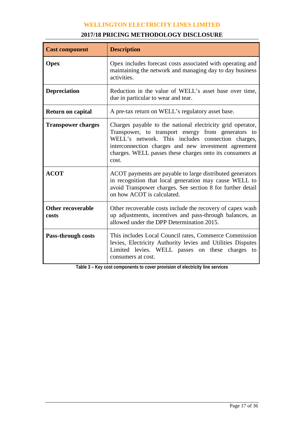| <b>Cost component</b>             | <b>Description</b>                                                                                                                                                                                                                                                                                 |  |  |  |  |  |
|-----------------------------------|----------------------------------------------------------------------------------------------------------------------------------------------------------------------------------------------------------------------------------------------------------------------------------------------------|--|--|--|--|--|
| <b>Opex</b>                       | Opex includes forecast costs associated with operating and<br>maintaining the network and managing day to day business<br>activities.                                                                                                                                                              |  |  |  |  |  |
| <b>Depreciation</b>               | Reduction in the value of WELL's asset base over time,<br>due in particular to wear and tear.                                                                                                                                                                                                      |  |  |  |  |  |
| <b>Return on capital</b>          | A pre-tax return on WELL's regulatory asset base.                                                                                                                                                                                                                                                  |  |  |  |  |  |
| <b>Transpower charges</b>         | Charges payable to the national electricity grid operator,<br>Transpower, to transport energy from generators to<br>WELL's network. This includes connection charges,<br>interconnection charges and new investment agreement<br>charges. WELL passes these charges onto its consumers at<br>cost. |  |  |  |  |  |
| <b>ACOT</b>                       | ACOT payments are payable to large distributed generators<br>in recognition that local generation may cause WELL to<br>avoid Transpower charges. See section 8 for further detail<br>on how ACOT is calculated.                                                                                    |  |  |  |  |  |
| <b>Other recoverable</b><br>costs | Other recoverable costs include the recovery of capex wash<br>up adjustments, incentives and pass-through balances, as<br>allowed under the DPP Determination 2015.                                                                                                                                |  |  |  |  |  |
| Pass-through costs                | This includes Local Council rates, Commerce Commission<br>levies, Electricity Authority levies and Utilities Disputes<br>Limited levies. WELL passes on these<br>charges to<br>consumers at cost.                                                                                                  |  |  |  |  |  |

#### **2017/18 PRICING METHODOLOGY DISCLOSURE**

**Table 3 – Key cost components to cover provision of electricity line services**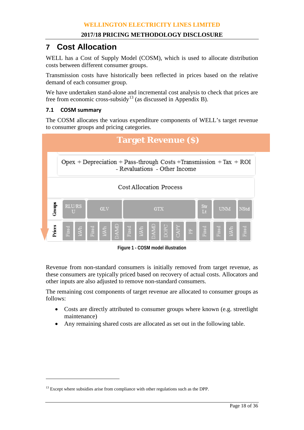## **7 Cost Allocation**

WELL has a Cost of Supply Model (COSM), which is used to allocate distribution costs between different consumer groups.

Transmission costs have historically been reflected in prices based on the relative demand of each consumer group.

We have undertaken stand-alone and incremental cost analysis to check that prices are free from economic cross-subsidy<sup>[13](#page-17-0)</sup> (as discussed in Appendix B).

#### **7.1 COSM summary**

 $\overline{a}$ 

The COSM allocates the various expenditure components of WELL's target revenue to consumer groups and pricing categories.

|        | <b>Target Revenue (S)</b>                                                                            |     |                |  |               |       |     |            |      |      |                |       |       |    |       |
|--------|------------------------------------------------------------------------------------------------------|-----|----------------|--|---------------|-------|-----|------------|------|------|----------------|-------|-------|----|-------|
|        | Opex + Depreciation + Pass-through Costs + Transmission + Tax + ROI<br>- Revaluations - Other Income |     |                |  |               |       |     |            |      |      |                |       |       |    |       |
|        | <b>Cost Allocation Process</b>                                                                       |     |                |  |               |       |     |            |      |      |                |       |       |    |       |
| Groups | <b>RLU/RS</b><br>Str<br><b>UNM</b><br>NStd<br><b>GLV</b><br><b>GTX</b><br>Lt<br>U                    |     |                |  |               |       |     |            |      |      |                |       |       |    |       |
| Prices | Fixed                                                                                                | kWh | $_{\rm Fixed}$ |  | $\frac{R}{D}$ | Fixed | kWh | <b>INV</b> | DOPC | CAPY | $\mathbb{H}^+$ | Fixed | Fixed | кM | Fixed |

**Figure 1 - COSM model illustration**

Revenue from non-standard consumers is initially removed from target revenue, as these consumers are typically priced based on recovery of actual costs. Allocators and other inputs are also adjusted to remove non-standard consumers.

The remaining cost components of target revenue are allocated to consumer groups as follows:

- Costs are directly attributed to consumer groups where known (e.g. streetlight maintenance)
- Any remaining shared costs are allocated as set out in the following table.

<span id="page-17-0"></span> $13$  Except where subsidies arise from compliance with other regulations such as the DPP.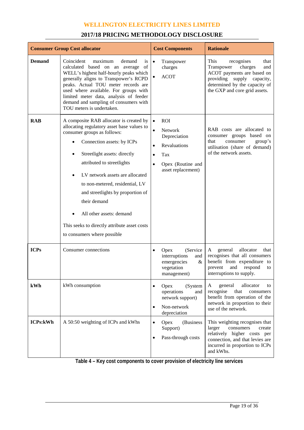#### **2017/18 PRICING METHODOLOGY DISCLOSURE**

|                 | <b>Consumer Group Cost allocator</b>                                                                                                                                                                                                                                                                                                                                                                                                                   | <b>Cost Components</b>                                                                                                                                                          | <b>Rationale</b>                                                                                                                                                                         |
|-----------------|--------------------------------------------------------------------------------------------------------------------------------------------------------------------------------------------------------------------------------------------------------------------------------------------------------------------------------------------------------------------------------------------------------------------------------------------------------|---------------------------------------------------------------------------------------------------------------------------------------------------------------------------------|------------------------------------------------------------------------------------------------------------------------------------------------------------------------------------------|
| <b>Demand</b>   | Coincident<br>maximum<br>demand<br><i>is</i><br>of<br>calculated based on an average<br>WELL's highest half-hourly peaks which<br>generally aligns to Transpower's RCPD<br>peaks. Actual TOU meter records are<br>used where available. For groups with<br>limited meter data, analysis of feeder<br>demand and sampling of consumers with<br>TOU meters is undertaken.                                                                                | $\bullet$<br>Transpower<br>charges<br><b>ACOT</b><br>$\bullet$                                                                                                                  | This<br>recognises<br>that<br>charges<br>Transpower<br>and<br>ACOT payments are based on<br>providing supply capacity,<br>determined by the capacity of<br>the GXP and core grid assets. |
| <b>RAB</b>      | A composite RAB allocator is created by<br>allocating regulatory asset base values to<br>consumer groups as follows:<br>Connection assets: by ICPs<br>Streetlight assets: directly<br>attributed to streetlights<br>LV network assets are allocated<br>to non-metered, residential, LV<br>and streetlights by proportion of<br>their demand<br>All other assets: demand<br>This seeks to directly attribute asset costs<br>to consumers where possible | <b>ROI</b><br>$\bullet$<br>$\bullet$<br><b>Network</b><br>Depreciation<br>Revaluations<br>$\bullet$<br>Tax<br>$\bullet$<br>Opex (Routine and<br>$\bullet$<br>asset replacement) | RAB costs are allocated to<br>consumer groups based on<br>that<br>consumer<br>group's<br>utilisation (share of demand)<br>of the network assets.                                         |
| <b>ICPs</b>     | Consumer connections                                                                                                                                                                                                                                                                                                                                                                                                                                   | (Service<br>Opex<br>$\bullet$<br>interruptions<br>and<br>emergencies<br>&<br>vegetation<br>management)                                                                          | allocator<br>that<br>general<br>A<br>recognises that all consumers<br>benefit from expenditure to<br>prevent<br>and<br>respond<br>to<br>interruptions to supply.                         |
| kWh             | kWh consumption                                                                                                                                                                                                                                                                                                                                                                                                                                        | Opex<br>(System<br>$\bullet$<br>operations<br>and<br>network support)<br>Non-network<br>$\bullet$<br>depreciation                                                               | general<br>allocator<br>A<br>to<br>recognise<br>that<br>consumers<br>benefit from operation of the<br>network in proportion to their<br>use of the network.                              |
| <b>ICPs:kWh</b> | A 50:50 weighting of ICPs and kWhs                                                                                                                                                                                                                                                                                                                                                                                                                     | Opex<br>(Business<br>$\bullet$<br>Support)<br>Pass-through costs<br>$\bullet$                                                                                                   | This weighting recognises that<br>consumers<br>larger<br>create<br>relatively higher costs per<br>connection, and that levies are<br>incurred in proportion to ICPs<br>and kWhs.         |

**Table 4 – Key cost components to cover provision of electricity line services**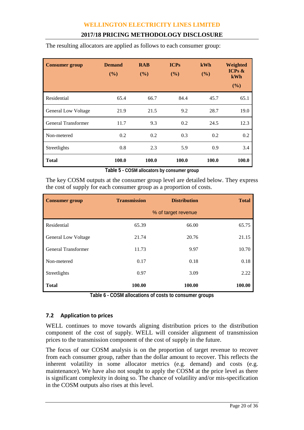| <b>Consumer group</b>      | <b>Demand</b><br>(%) | <b>RAB</b><br>(%) | <b>ICPs</b><br>(%) | kWh<br>(%) | Weighted<br>ICPs $\&$<br>kWh<br>(%) |
|----------------------------|----------------------|-------------------|--------------------|------------|-------------------------------------|
| Residential                | 65.4                 | 66.7              | 84.4               | 45.7       | 65.1                                |
| <b>General Low Voltage</b> | 21.9                 | 21.5              | 9.2                | 28.7       | 19.0                                |
| General Transformer        | 11.7                 | 9.3               | 0.2                | 24.5       | 12.3                                |
| Non-metered                | 0.2                  | 0.2               | 0.3                | 0.2        | 0.2                                 |
| Streetlights               | 0.8                  | 2.3               | 5.9                | 0.9        | 3.4                                 |
| <b>Total</b>               | 100.0                | 100.0             | 100.0              | 100.0      | 100.0                               |

The resulting allocators are applied as follows to each consumer group:

**Table 5 - COSM allocators by consumer group**

The key COSM outputs at the consumer group level are detailed below. They express the cost of supply for each consumer group as a proportion of costs.

| <b>Consumer group</b>      | <b>Transmission</b> | <b>Distribution</b> | <b>Total</b> |
|----------------------------|---------------------|---------------------|--------------|
|                            |                     | % of target revenue |              |
| Residential                | 65.39               | 66.00               | 65.75        |
| <b>General Low Voltage</b> | 21.74               | 20.76               | 21.15        |
| General Transformer        | 11.73               | 9.97                | 10.70        |
| Non-metered                | 0.17                | 0.18                | 0.18         |
| Streetlights               | 0.97                | 3.09                | 2.22         |
| <b>Total</b>               | 100.00              | 100.00              | 100.00       |

**Table 6 - COSM allocations of costs to consumer groups**

#### **7.2 Application to prices**

WELL continues to move towards aligning distribution prices to the distribution component of the cost of supply. WELL will consider alignment of transmission prices to the transmission component of the cost of supply in the future.

The focus of our COSM analysis is on the proportion of target revenue to recover from each consumer group, rather than the dollar amount to recover. This reflects the inherent volatility in some allocator metrics (e.g. demand) and costs (e.g. maintenance). We have also not sought to apply the COSM at the price level as there is significant complexity in doing so. The chance of volatility and/or mis-specification in the COSM outputs also rises at this level.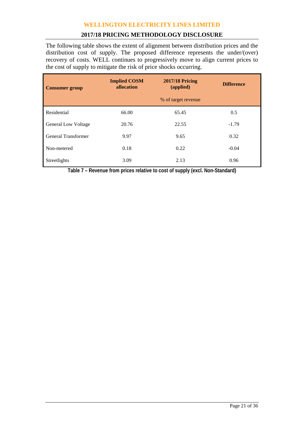#### **2017/18 PRICING METHODOLOGY DISCLOSURE**

The following table shows the extent of alignment between distribution prices and the distribution cost of supply. The proposed difference represents the under/(over) recovery of costs. WELL continues to progressively move to align current prices to the cost of supply to mitigate the risk of price shocks occurring.

| <b>Consumer group</b>      | <b>Implied COSM</b><br>allocation | <b>2017/18 Pricing</b><br>(applied) | <b>Difference</b> |
|----------------------------|-----------------------------------|-------------------------------------|-------------------|
|                            |                                   | % of target revenue                 |                   |
| Residential                | 66.00                             | 65.45                               | 0.5               |
| <b>General Low Voltage</b> | 20.76                             | 22.55                               | $-1.79$           |
| <b>General Transformer</b> | 9.97                              | 9.65                                | 0.32              |
| Non-metered                | 0.18                              | 0.22                                | $-0.04$           |
| Streetlights               | 3.09                              | 2.13                                | 0.96              |

**Table 7 – Revenue from prices relative to cost of supply (excl. Non-Standard)**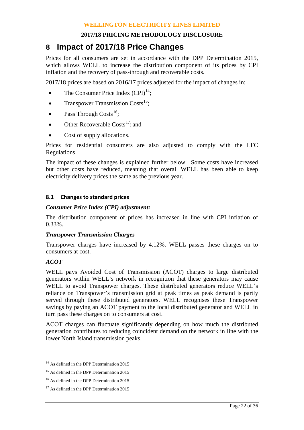## **8 Impact of 2017/18 Price Changes**

Prices for all consumers are set in accordance with the DPP Determination 2015, which allows WELL to increase the distribution component of its prices by CPI inflation and the recovery of pass-through and recoverable costs.

2017/18 prices are based on 2016/17 prices adjusted for the impact of changes in:

- The Consumer Price Index  $(CPI)^{14}$  $(CPI)^{14}$  $(CPI)^{14}$ ;
- Transpower Transmission Costs<sup>[15](#page-21-1)</sup>;
- Pass Through Costs<sup>16</sup>;
- Other Recoverable Costs<sup>17</sup>; and
- Cost of supply allocations.

Prices for residential consumers are also adjusted to comply with the LFC Regulations.

The impact of these changes is explained further below. Some costs have increased but other costs have reduced, meaning that overall WELL has been able to keep electricity delivery prices the same as the previous year.

#### **8.1 Changes to standard prices**

#### *Consumer Price Index (CPI) adjustment:*

The distribution component of prices has increased in line with CPI inflation of 0.33%.

#### *Transpower Transmission Charges*

Transpower charges have increased by 4.12%. WELL passes these charges on to consumers at cost.

#### *ACOT*

 $\overline{a}$ 

WELL pays Avoided Cost of Transmission (ACOT) charges to large distributed generators within WELL's network in recognition that these generators may cause WELL to avoid Transpower charges. These distributed generators reduce WELL's reliance on Transpower's transmission grid at peak times as peak demand is partly served through these distributed generators. WELL recognises these Transpower savings by paying an ACOT payment to the local distributed generator and WELL in turn pass these charges on to consumers at cost.

ACOT charges can fluctuate significantly depending on how much the distributed generation contributes to reducing coincident demand on the network in line with the lower North Island transmission peaks.

<span id="page-21-0"></span><sup>&</sup>lt;sup>14</sup> As defined in the DPP Determination 2015

<span id="page-21-1"></span><sup>&</sup>lt;sup>15</sup> As defined in the DPP Determination 2015

<span id="page-21-2"></span><sup>&</sup>lt;sup>16</sup> As defined in the DPP Determination 2015

<span id="page-21-3"></span><sup>&</sup>lt;sup>17</sup> As defined in the DPP Determination 2015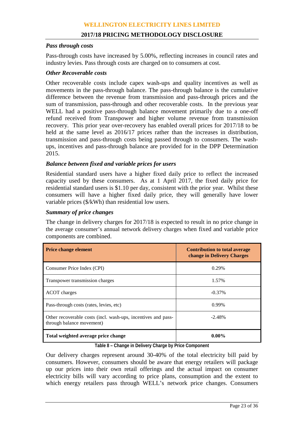#### *Pass through costs*

Pass-through costs have increased by 5.00%, reflecting increases in council rates and industry levies. Pass through costs are charged on to consumers at cost.

#### *Other Recoverable costs*

Other recoverable costs include capex wash-ups and quality incentives as well as movements in the pass-through balance. The pass-through balance is the cumulative difference between the revenue from transmission and pass-through prices and the sum of transmission, pass-through and other recoverable costs. In the previous year WELL had a positive pass-through balance movement primarily due to a one-off refund received from Transpower and higher volume revenue from transmission recovery. This prior year over-recovery has enabled overall prices for 2017/18 to be held at the same level as 2016/17 prices rather than the increases in distribution, transmission and pass-through costs being passed through to consumers. The washups, incentives and pass-through balance are provided for in the DPP Determination 2015.

#### *Balance between fixed and variable prices for users*

Residential standard users have a higher fixed daily price to reflect the increased capacity used by these consumers. As at 1 April 2017, the fixed daily price for residential standard users is \$1.10 per day, consistent with the prior year. Whilst these consumers will have a higher fixed daily price, they will generally have lower variable prices (\$/kWh) than residential low users.

#### *Summary of price changes*

The change in delivery charges for 2017/18 is expected to result in no price change in the average consumer's annual network delivery charges when fixed and variable price components are combined.

| <b>Price change element</b>                                                                | Contribution to total average<br>change in Delivery Charges |
|--------------------------------------------------------------------------------------------|-------------------------------------------------------------|
| Consumer Price Index (CPI)                                                                 | 0.29%                                                       |
| Transpower transmission charges                                                            | 1.57%                                                       |
| <b>ACOT</b> charges                                                                        | $-0.37\%$                                                   |
| Pass-through costs (rates, levies, etc)                                                    | 0.99%                                                       |
| Other recoverable costs (incl. wash-ups, incentives and pass-<br>through balance movement) | $-2.48%$                                                    |
| Total weighted average price change                                                        | $0.00\%$                                                    |

#### **Table 8 – Change in Delivery Charge by Price Component**

Our delivery charges represent around 30-40% of the total electricity bill paid by consumers. However, consumers should be aware that energy retailers will package up our prices into their own retail offerings and the actual impact on consumer electricity bills will vary according to price plans, consumption and the extent to which energy retailers pass through WELL's network price changes. Consumers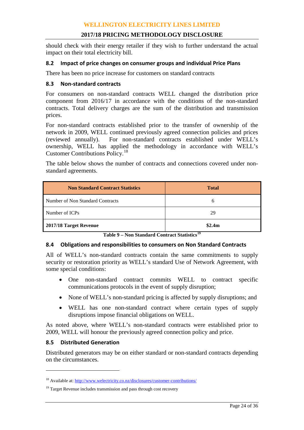should check with their energy retailer if they wish to further understand the actual impact on their total electricity bill.

#### **8.2 Impact of price changes on consumer groups and individual Price Plans**

There has been no price increase for customers on standard contracts

#### **8.3 Non-standard contracts**

For consumers on non-standard contracts WELL changed the distribution price component from 2016/17 in accordance with the conditions of the non-standard contracts. Total delivery charges are the sum of the distribution and transmission prices.

For non-standard contracts established prior to the transfer of ownership of the network in 2009, WELL continued previously agreed connection policies and prices (reviewed annually). For non-standard contracts established under WELL's For non-standard contracts established under WELL's ownership, WELL has applied the methodology in accordance with WELL's Customer Contributions Policy.[18](#page-23-0)

The table below shows the number of contracts and connections covered under nonstandard agreements.

| <b>Non Standard Contract Statistics</b> | <b>Total</b> |
|-----------------------------------------|--------------|
| Number of Non Standard Contracts        | 6            |
| Number of ICPs                          | 29           |
| 2017/18 Target Revenue                  | \$2.4m       |

**Table 9 – Non Standard Contract Statistics[19](#page-23-1)**

#### **8.4 Obligations and responsibilities to consumers on Non Standard Contracts**

All of WELL's non-standard contracts contain the same commitments to supply security or restoration priority as WELL's standard Use of Network Agreement, with some special conditions:

- One non-standard contract commits WELL to contract specific communications protocols in the event of supply disruption;
- None of WELL's non-standard pricing is affected by supply disruptions; and
- WELL has one non-standard contract where certain types of supply disruptions impose financial obligations on WELL.

As noted above, where WELL's non-standard contracts were established prior to 2009, WELL will honour the previously agreed connection policy and price.

#### **8.5 Distributed Generation**

 $\overline{a}$ 

Distributed generators may be on either standard or non-standard contracts depending on the circumstances.

<span id="page-23-0"></span><sup>18</sup> Available at[: http://www.welectricity.co.nz/disclosures/customer-contributions/](http://www.welectricity.co.nz/disclosures/customer-contributions/) 

<span id="page-23-1"></span> $19$  Target Revenue includes transmission and pass through cost recovery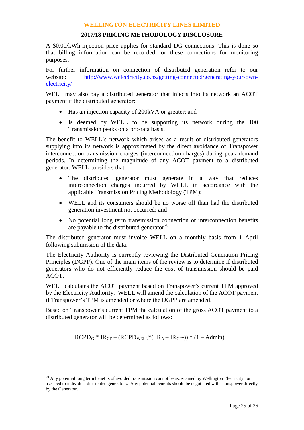#### **2017/18 PRICING METHODOLOGY DISCLOSURE**

A \$0.00/kWh-injection price applies for standard DG connections. This is done so that billing information can be recorded for these connections for monitoring purposes.

For further information on connection of distributed generation refer to our website: [http://www.welectricity.co.nz/getting-connected/generating-your-own](http://www.welectricity.co.nz/getting-connected/generating-your-own-electricity/)[electricity/](http://www.welectricity.co.nz/getting-connected/generating-your-own-electricity/)

WELL may also pay a distributed generator that injects into its network an ACOT payment if the distributed generator:

- Has an injection capacity of 200kVA or greater; and
- Is deemed by WELL to be supporting its network during the 100 Transmission peaks on a pro-rata basis.

The benefit to WELL's network which arises as a result of distributed generators supplying into its network is approximated by the direct avoidance of Transpower interconnection transmission charges (interconnection charges) during peak demand periods. In determining the magnitude of any ACOT payment to a distributed generator, WELL considers that:

- The distributed generator must generate in a way that reduces interconnection charges incurred by WELL in accordance with the applicable Transmission Pricing Methodology (TPM);
- WELL and its consumers should be no worse off than had the distributed generation investment not occurred; and
- No potential long term transmission connection or interconnection benefits are payable to the distributed generator $^{20}$  $^{20}$  $^{20}$

The distributed generator must invoice WELL on a monthly basis from 1 April following submission of the data.

The Electricity Authority is currently reviewing the Distributed Generation Pricing Principles (DGPP). One of the main items of the review is to determine if distributed generators who do not efficiently reduce the cost of transmission should be paid ACOT.

WELL calculates the ACOT payment based on Transpower's current TPM approved by the Electricity Authority. WELL will amend the calculation of the ACOT payment if Transpower's TPM is amended or where the DGPP are amended.

Based on Transpower's current TPM the calculation of the gross ACOT payment to a distributed generator will be determined as follows:

 $RCPD<sub>G</sub> * IR<sub>CF</sub> - (RCPD<sub>WELL</sub> * (IR<sub>A</sub> - IR<sub>CF</sub> -)) * (1 - Admin)$ 

 $\overline{a}$ 

<span id="page-24-0"></span> $20$  Any potential long term benefits of avoided transmission cannot be ascertained by Wellington Electricity nor ascribed to individual distributed generators. Any potential benefits should be negotiated with Transpower directly by the Generator.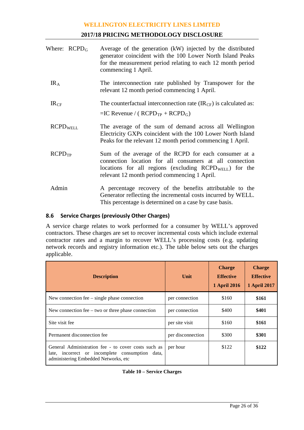#### **2017/18 PRICING METHODOLOGY DISCLOSURE**

| Where: $RCPD_G$             | Average of the generation (kW) injected by the distributed<br>generator coincident with the 100 Lower North Island Peaks<br>for the measurement period relating to each 12 month period<br>commencing 1 April.                |
|-----------------------------|-------------------------------------------------------------------------------------------------------------------------------------------------------------------------------------------------------------------------------|
| IR <sub>A</sub>             | The interconnection rate published by Transpower for the<br>relevant 12 month period commencing 1 April.                                                                                                                      |
| IR <sub>CF</sub>            | The counterfactual interconnection rate $(\text{IR}_{CF})$ is calculated as:<br>$=IC$ Revenue / ( $RCPD_{TP}$ + $RCPD_G$ )                                                                                                    |
| <b>RCPD</b> <sub>WELL</sub> | The average of the sum of demand across all Wellington<br>Electricity GXPs coincident with the 100 Lower North Island<br>Peaks for the relevant 12 month period commencing 1 April.                                           |
| RCPD <sub>TP</sub>          | Sum of the average of the RCPD for each consumer at a<br>connection location for all consumers at all connection<br>locations for all regions (excluding $RCPDWELL$ ) for the<br>relevant 12 month period commencing 1 April. |
| Admin                       | A percentage recovery of the benefits attributable to the<br>Generator reflecting the incremental costs incurred by WELL.<br>This percentage is determined on a case by case basis.                                           |

#### **8.6 Service Charges (previously Other Charges)**

A service charge relates to work performed for a consumer by WELL's approved contractors. These charges are set to recover incremental costs which include external contractor rates and a margin to recover WELL's processing costs (e.g. updating network records and registry information etc.). The table below sets out the charges applicable.

| <b>Description</b>                                                                                                                             | Unit              | <b>Charge</b><br><b>Effective</b><br><b>1 April 2016</b> | <b>Charge</b><br><b>Effective</b><br><b>1 April 2017</b> |
|------------------------------------------------------------------------------------------------------------------------------------------------|-------------------|----------------------------------------------------------|----------------------------------------------------------|
| New connection fee $-$ single phase connection                                                                                                 | per connection    | \$160                                                    | \$161                                                    |
| New connection fee $-$ two or three phase connection                                                                                           | per connection    | \$400                                                    | \$401                                                    |
| Site visit fee                                                                                                                                 | per site visit    | \$160                                                    | \$161                                                    |
| Permanent disconnection fee                                                                                                                    | per disconnection | \$300                                                    | \$301                                                    |
| General Administration fee - to cover costs such as<br>late, incorrect or incomplete consumption data,<br>administering Embedded Networks, etc | per hour          | \$122                                                    | \$122                                                    |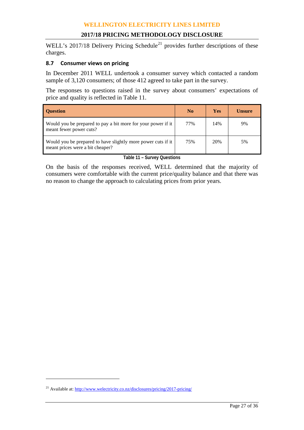#### **2017/18 PRICING METHODOLOGY DISCLOSURE**

WELL's 2017/18 Delivery Pricing Schedule<sup>[21](#page-26-1)</sup> provides further descriptions of these charges.

#### **8.7 Consumer views on pricing**

In December 2011 WELL undertook a consumer survey which contacted a random sample of 3,120 consumers; of those 412 agreed to take part in the survey.

The responses to questions raised in the survey about consumers' expectations of price and quality is reflected in [Table 11.](#page-26-0)

| <b>Ouestion</b>                                                                                  | No  | <b>Yes</b> | Unsure |
|--------------------------------------------------------------------------------------------------|-----|------------|--------|
| Would you be prepared to pay a bit more for your power if it<br>meant fewer power cuts?          | 77% | 14%        | 9%     |
| Would you be prepared to have slightly more power cuts if it<br>meant prices were a bit cheaper? | 75% | 20%        | 5%     |

**Table 11 – Survey Questions**

<span id="page-26-0"></span>On the basis of the responses received, WELL determined that the majority of consumers were comfortable with the current price/quality balance and that there was no reason to change the approach to calculating prices from prior years.

 $\overline{a}$ 

<span id="page-26-1"></span><sup>&</sup>lt;sup>21</sup> Available at[: http://www.welectricity.co.nz/disclosures/pricing/2017-pricing/](http://www.welectricity.co.nz/disclosures/pricing/2017-pricing/)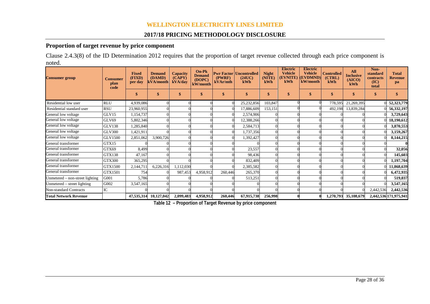#### **2017/18 PRICING METHODOLOGY DISCLOSURE**

#### **Proportion of target revenue by price component**

Clause 2.4.3(8) of the ID Determination 2012 requires that the proportion of target revenue collected through each price component is noted.

| <b>Consumer group</b>           | <b>Consumer</b><br>plan<br>code | <b>Fixed</b><br>(FIXD)<br>per day | <b>Demand</b><br>(DAMD)<br>kVA/month | Capacity<br>(CAPY)<br>kVA/day | $On-Pk$<br><b>Demand</b><br>(DOPC)<br>kW/month | (PWRF)<br>kVAr/mth | <b>Pwr Factor   Uncontrolled</b><br>(24UC)<br>kWh | <b>Night</b><br>(NITE)<br>kWh | <b>Electric</b><br><b>Vehicle</b><br>(EVNITE)<br>kWh | <b>Electric</b><br><b>Vehicle</b><br>(EVDMND)<br>kW/month | <b>Controlled</b><br>(CTRL)<br>kWh | <b>All</b><br><b>Inclusive</b><br>(AICO)<br>kWh | Non-<br>standard<br>contracts<br>(IC)<br>total | <b>Total</b><br><b>Revenue</b><br>pa |
|---------------------------------|---------------------------------|-----------------------------------|--------------------------------------|-------------------------------|------------------------------------------------|--------------------|---------------------------------------------------|-------------------------------|------------------------------------------------------|-----------------------------------------------------------|------------------------------------|-------------------------------------------------|------------------------------------------------|--------------------------------------|
|                                 |                                 | \$                                | S.                                   |                               | S                                              | -\$                | \$                                                | \$                            | \$                                                   | S                                                         | \$                                 | $\mathbf{\$}$                                   | -\$                                            |                                      |
| Residential low user            | <b>RLU</b>                      | 4,939,086                         |                                      |                               |                                                |                    | 25,232,856                                        | 103,847                       |                                                      |                                                           | 778,595                            | 21,269,395                                      |                                                | 52,323,779                           |
| Residential standard user       | <b>RSU</b>                      | 23,960,955                        |                                      |                               |                                                |                    | 17,886,609                                        | 153,151                       |                                                      |                                                           | 492,198                            | 13,839,284                                      |                                                | 56,332,197                           |
| General low voltage             | GLV15                           | 1,154,737                         |                                      |                               |                                                |                    | 2,574,906                                         |                               |                                                      |                                                           |                                    |                                                 |                                                | 3,729,643                            |
| General low voltage             | GLV69                           | 5,802,346                         |                                      |                               |                                                |                    | 12,388,266                                        |                               |                                                      |                                                           |                                    |                                                 |                                                | 18,190,612                           |
| General low voltage             | <b>GLV138</b>                   | 1,285,840                         |                                      |                               |                                                |                    | 2,584,713                                         |                               |                                                      |                                                           |                                    |                                                 |                                                | 3,870,553                            |
| General low voltage             | <b>GLV300</b>                   | 1,421,911                         |                                      |                               |                                                |                    | 1,737,356                                         |                               |                                                      |                                                           |                                    |                                                 |                                                | 3,159,267                            |
| General low voltage             | GLV1500                         | 2,851,062                         | 3,900,726                            |                               |                                                |                    | 1,392,427                                         |                               |                                                      |                                                           |                                    |                                                 |                                                | 8,144,215                            |
| General transformer             | GTX15                           |                                   |                                      |                               |                                                |                    |                                                   |                               |                                                      |                                                           |                                    |                                                 |                                                |                                      |
| General transformer             | GTX69                           | 8,499                             |                                      |                               |                                                |                    | 23,557                                            |                               |                                                      |                                                           |                                    |                                                 |                                                | 32,056                               |
| General transformer             | <b>GTX138</b>                   | 47,167                            |                                      |                               |                                                |                    | 98,436                                            |                               |                                                      |                                                           |                                    |                                                 |                                                | 145,603                              |
| General transformer             | <b>GTX300</b>                   | 365,295                           |                                      |                               |                                                |                    | 832,409                                           |                               |                                                      |                                                           |                                    |                                                 |                                                | 1,197,704                            |
| General transformer             | GTX1500                         | 2,144,711                         | 6,226,316                            | 1,112,030                     |                                                |                    | 2,385,582                                         |                               |                                                      |                                                           |                                    |                                                 |                                                | 11,868,639                           |
| General transformer             | GTX1501                         | 754                               |                                      | 987,453                       | 4,958,912                                      | 260,446            | 265,370                                           |                               |                                                      |                                                           |                                    |                                                 |                                                | 6,472,935                            |
| Unmetered – non-street lighting | G001                            | 5,786                             |                                      |                               |                                                |                    | 513,251                                           |                               |                                                      |                                                           |                                    |                                                 |                                                | 519,037                              |
| Unmetered – street lighting     | G002                            | 3,547,165                         |                                      |                               |                                                |                    |                                                   |                               |                                                      |                                                           |                                    |                                                 |                                                | 3,547,165                            |
| <b>Non-standard Contracts</b>   | IC                              |                                   |                                      |                               |                                                |                    |                                                   |                               |                                                      |                                                           |                                    |                                                 | 2,442,536                                      | 2,442,536                            |
| <b>Total Network Revenue</b>    |                                 | 47,535,314                        | 10,127,042                           | 2,099,483                     | 4,958,912                                      | 260,446            | 67,915,738                                        | 256,998                       |                                                      |                                                           | 1,270,793                          | 35,108,679                                      |                                                | 2,442,536 171,975,941                |

**Table 12 – Proportion of Target Revenue by price component**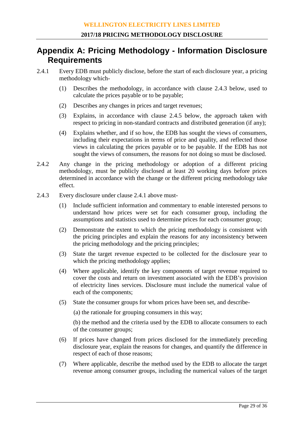## **Appendix A: Pricing Methodology - Information Disclosure Requirements**

- 2.4.1 Every EDB must publicly disclose, before the start of each disclosure year, a pricing methodology which-
	- (1) Describes the methodology, in accordance with clause 2.4.3 below, used to calculate the prices payable or to be payable;
	- (2) Describes any changes in prices and target revenues;
	- (3) Explains, in accordance with clause 2.4.5 below, the approach taken with respect to pricing in non-standard contracts and distributed generation (if any);
	- (4) Explains whether, and if so how, the EDB has sought the views of consumers, including their expectations in terms of price and quality, and reflected those views in calculating the prices payable or to be payable. If the EDB has not sought the views of consumers, the reasons for not doing so must be disclosed.
- 2.4.2 Any change in the pricing methodology or adoption of a different pricing methodology, must be publicly disclosed at least 20 working days before prices determined in accordance with the change or the different pricing methodology take effect.
- 2.4.3 Every disclosure under clause 2.4.1 above must-
	- (1) Include sufficient information and commentary to enable interested persons to understand how prices were set for each consumer group, including the assumptions and statistics used to determine prices for each consumer group;
	- (2) Demonstrate the extent to which the pricing methodology is consistent with the pricing principles and explain the reasons for any inconsistency between the pricing methodology and the pricing principles;
	- (3) State the target revenue expected to be collected for the disclosure year to which the pricing methodology applies;
	- (4) Where applicable, identify the key components of target revenue required to cover the costs and return on investment associated with the EDB's provision of electricity lines services. Disclosure must include the numerical value of each of the components;
	- (5) State the consumer groups for whom prices have been set, and describe-

(a) the rationale for grouping consumers in this way;

(b) the method and the criteria used by the EDB to allocate consumers to each of the consumer groups;

- (6) If prices have changed from prices disclosed for the immediately preceding disclosure year, explain the reasons for changes, and quantify the difference in respect of each of those reasons;
- (7) Where applicable, describe the method used by the EDB to allocate the target revenue among consumer groups, including the numerical values of the target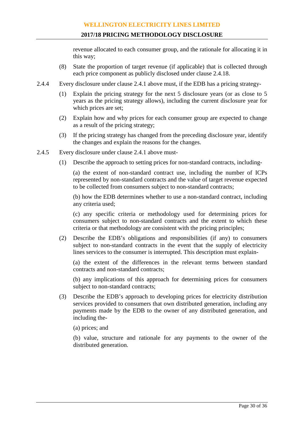revenue allocated to each consumer group, and the rationale for allocating it in this way;

- (8) State the proportion of target revenue (if applicable) that is collected through each price component as publicly disclosed under clause 2.4.18.
- 2.4.4 Every disclosure under clause 2.4.1 above must, if the EDB has a pricing strategy-
	- (1) Explain the pricing strategy for the next 5 disclosure years (or as close to 5 years as the pricing strategy allows), including the current disclosure year for which prices are set;
	- (2) Explain how and why prices for each consumer group are expected to change as a result of the pricing strategy;
	- (3) If the pricing strategy has changed from the preceding disclosure year, identify the changes and explain the reasons for the changes.
- 2.4.5 Every disclosure under clause 2.4.1 above must-
	- (1) Describe the approach to setting prices for non-standard contracts, including-

(a) the extent of non-standard contract use, including the number of ICPs represented by non-standard contracts and the value of target revenue expected to be collected from consumers subject to non-standard contracts;

(b) how the EDB determines whether to use a non-standard contract, including any criteria used;

(c) any specific criteria or methodology used for determining prices for consumers subject to non-standard contracts and the extent to which these criteria or that methodology are consistent with the pricing principles;

(2) Describe the EDB's obligations and responsibilities (if any) to consumers subject to non-standard contracts in the event that the supply of electricity lines services to the consumer is interrupted. This description must explain-

(a) the extent of the differences in the relevant terms between standard contracts and non-standard contracts;

(b) any implications of this approach for determining prices for consumers subject to non-standard contracts;

- (3) Describe the EDB's approach to developing prices for electricity distribution services provided to consumers that own distributed generation, including any payments made by the EDB to the owner of any distributed generation, and including the-
	- (a) prices; and

(b) value, structure and rationale for any payments to the owner of the distributed generation.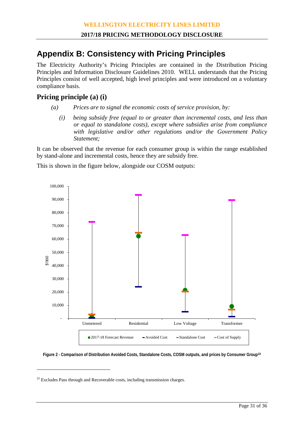## **Appendix B: Consistency with Pricing Principles**

The Electricity Authority's Pricing Principles are contained in the Distribution Pricing Principles and Information Disclosure Guidelines 2010. WELL understands that the Pricing Principles consist of well accepted, high level principles and were introduced on a voluntary compliance basis.

#### **Pricing principle (a) (i)**

- *(a) Prices are to signal the economic costs of service provision, by:*
	- *(i) being subsidy free (equal to or greater than incremental costs, and less than or equal to standalone costs), except where subsidies arise from compliance with legislative and/or other regulations and/or the Government Policy Statement;*

It can be observed that the revenue for each consumer group is within the range established by stand-alone and incremental costs, hence they are subsidy free.

This is shown in the figure below, alongside our COSM outputs:



**Figure 2 - Comparison of Distribution Avoided Costs, Standalone Costs, COSM outputs, and prices by Consumer Group[22](#page-30-0)**

-

<span id="page-30-0"></span> $22$  Excludes Pass through and Recoverable costs, including transmission charges.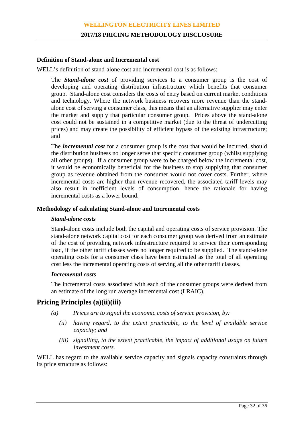#### **Definition of Stand-alone and Incremental cost**

WELL's definition of stand-alone cost and incremental cost is as follows:

The *Stand-alone cost* of providing services to a consumer group is the cost of developing and operating distribution infrastructure which benefits that consumer group. Stand-alone cost considers the costs of entry based on current market conditions and technology. Where the network business recovers more revenue than the standalone cost of serving a consumer class, this means that an alternative supplier may enter the market and supply that particular consumer group. Prices above the stand-alone cost could not be sustained in a competitive market (due to the threat of undercutting prices) and may create the possibility of efficient bypass of the existing infrastructure; and

The *incremental cost* for a consumer group is the cost that would be incurred, should the distribution business no longer serve that specific consumer group (whilst supplying all other groups). If a consumer group were to be charged below the incremental cost, it would be economically beneficial for the business to stop supplying that consumer group as revenue obtained from the consumer would not cover costs. Further, where incremental costs are higher than revenue recovered, the associated tariff levels may also result in inefficient levels of consumption, hence the rationale for having incremental costs as a lower bound.

#### **Methodology of calculating Stand-alone and Incremental costs**

#### *Stand-alone costs*

Stand-alone costs include both the capital and operating costs of service provision. The stand-alone network capital cost for each consumer group was derived from an estimate of the cost of providing network infrastructure required to service their corresponding load, if the other tariff classes were no longer required to be supplied. The stand-alone operating costs for a consumer class have been estimated as the total of all operating cost less the incremental operating costs of serving all the other tariff classes.

#### *Incremental costs*

The incremental costs associated with each of the consumer groups were derived from an estimate of the long run average incremental cost (LRAIC).

#### **Pricing Principles (a)(ii)(iii)**

- *(a) Prices are to signal the economic costs of service provision, by:*
	- *(ii) having regard, to the extent practicable, to the level of available service capacity; and*
	- *(iii) signalling, to the extent practicable, the impact of additional usage on future investment costs.*

WELL has regard to the available service capacity and signals capacity constraints through its price structure as follows: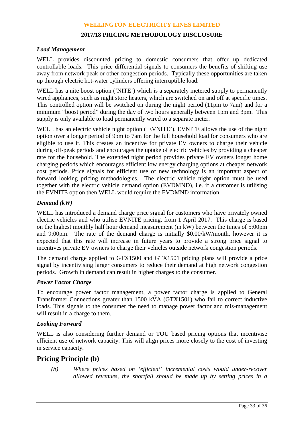#### **2017/18 PRICING METHODOLOGY DISCLOSURE**

#### *Load Management*

WELL provides discounted pricing to domestic consumers that offer up dedicated controllable loads. This price differential signals to consumers the benefits of shifting use away from network peak or other congestion periods. Typically these opportunities are taken up through electric hot-water cylinders offering interruptible load.

WELL has a nite boost option ('NITE') which is a separately metered supply to permanently wired appliances, such as night store heaters, which are switched on and off at specific times. This controlled option will be switched on during the night period (11pm to 7am) and for a minimum "boost period" during the day of two hours generally between 1pm and 3pm. This supply is only available to load permanently wired to a separate meter.

WELL has an electric vehicle night option ('EVNITE'). EVNITE allows the use of the night option over a longer period of 9pm to 7am for the full household load for consumers who are eligible to use it. This creates an incentive for private EV owners to charge their vehicle during off-peak periods and encourages the uptake of electric vehicles by providing a cheaper rate for the household. The extended night period provides private EV owners longer home charging periods which encourages efficient low energy charging options at cheaper network cost periods. Price signals for efficient use of new technology is an important aspect of forward looking pricing methodologies. The electric vehicle night option must be used together with the electric vehicle demand option (EVDMND), i.e. if a customer is utilising the EVNITE option then WELL would require the EVDMND information.

#### *Demand (kW)*

WELL has introduced a demand charge price signal for customers who have privately owned electric vehicles and who utilise EVNITE pricing, from 1 April 2017. This charge is based on the highest monthly half hour demand measurement (in kW) between the times of 5:00pm and 9:00pm. The rate of the demand charge is initially \$0.00/kW/month, however it is expected that this rate will increase in future years to provide a strong price signal to incentives private EV owners to charge their vehicles outside network congestion periods.

The demand charge applied to GTX1500 and GTX1501 pricing plans will provide a price signal by incentivising larger consumers to reduce their demand at high network congestion periods. Growth in demand can result in higher charges to the consumer.

#### *Power Factor Charge*

To encourage power factor management, a power factor charge is applied to General Transformer Connections greater than 1500 kVA (GTX1501) who fail to correct inductive loads. This signals to the consumer the need to manage power factor and mis-management will result in a charge to them.

#### *Looking Forward*

WELL is also considering further demand or TOU based pricing options that incentivise efficient use of network capacity. This will align prices more closely to the cost of investing in service capacity.

#### **Pricing Principle (b)**

*(b) Where prices based on 'efficient' incremental costs would under-recover allowed revenues, the shortfall should be made up by setting prices in a*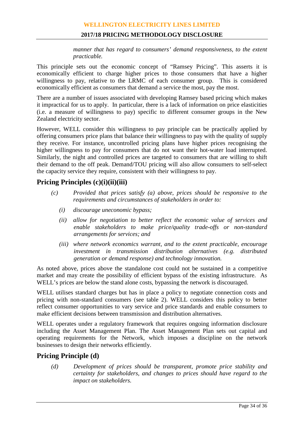#### **2017/18 PRICING METHODOLOGY DISCLOSURE**

*manner that has regard to consumers' demand responsiveness, to the extent practicable.*

This principle sets out the economic concept of "Ramsey Pricing". This asserts it is economically efficient to charge higher prices to those consumers that have a higher willingness to pay, relative to the LRMC of each consumer group. This is considered economically efficient as consumers that demand a service the most, pay the most.

There are a number of issues associated with developing Ramsey based pricing which makes it impractical for us to apply. In particular, there is a lack of information on price elasticities (i.e. a measure of willingness to pay) specific to different consumer groups in the New Zealand electricity sector.

However, WELL consider this willingness to pay principle can be practically applied by offering consumers price plans that balance their willingness to pay with the quality of supply they receive. For instance, uncontrolled pricing plans have higher prices recognising the higher willingness to pay for consumers that do not want their hot-water load interrupted. Similarly, the night and controlled prices are targeted to consumers that are willing to shift their demand to the off peak. Demand/TOU pricing will also allow consumers to self-select the capacity service they require, consistent with their willingness to pay.

#### **Pricing Principles (c)(i)(ii)(iii)**

- *(c) Provided that prices satisfy (a) above, prices should be responsive to the requirements and circumstances of stakeholders in order to:*
	- *(i) discourage uneconomic bypass;*
	- *(ii) allow for negotiation to better reflect the economic value of services and enable stakeholders to make price/quality trade-offs or non-standard arrangements for services; and*
	- *(iii) where network economics warrant, and to the extent practicable, encourage investment in transmission distribution alternatives (e.g. distributed generation or demand response) and technology innovation.*

As noted above, prices above the standalone cost could not be sustained in a competitive market and may create the possibility of efficient bypass of the existing infrastructure. As WELL's prices are below the stand alone costs, bypassing the network is discouraged.

WELL utilises standard charges but has in place a policy to negotiate connection costs and pricing with non-standard consumers (see table 2). WELL considers this policy to better reflect consumer opportunities to vary service and price standards and enable consumers to make efficient decisions between transmission and distribution alternatives.

WELL operates under a regulatory framework that requires ongoing information disclosure including the Asset Management Plan. The Asset Management Plan sets out capital and operating requirements for the Network, which imposes a discipline on the network businesses to design their networks efficiently.

#### **Pricing Principle (d)**

*(d) Development of prices should be transparent, promote price stability and certainty for stakeholders, and changes to prices should have regard to the impact on stakeholders.*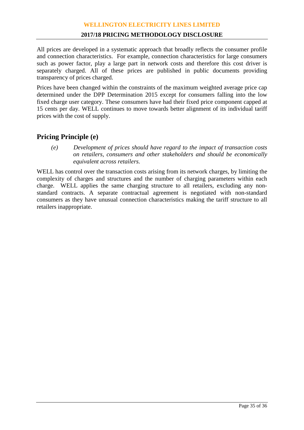All prices are developed in a systematic approach that broadly reflects the consumer profile and connection characteristics. For example, connection characteristics for large consumers such as power factor, play a large part in network costs and therefore this cost driver is separately charged. All of these prices are published in public documents providing transparency of prices charged.

Prices have been changed within the constraints of the maximum weighted average price cap determined under the DPP Determination 2015 except for consumers falling into the low fixed charge user category. These consumers have had their fixed price component capped at 15 cents per day. WELL continues to move towards better alignment of its individual tariff prices with the cost of supply.

#### **Pricing Principle (e)**

*(e) Development of prices should have regard to the impact of transaction costs on retailers, consumers and other stakeholders and should be economically equivalent across retailers.*

WELL has control over the transaction costs arising from its network charges, by limiting the complexity of charges and structures and the number of charging parameters within each charge. WELL applies the same charging structure to all retailers, excluding any nonstandard contracts. A separate contractual agreement is negotiated with non-standard consumers as they have unusual connection characteristics making the tariff structure to all retailers inappropriate.